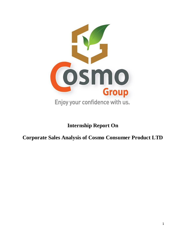

# **Internship Report On**

**Corporate Sales Analysis of Cosmo Consumer Product LTD**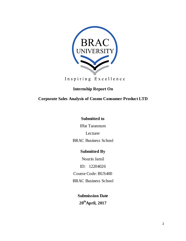

Inspiring Excellence

# **Internship Report On**

**Corporate Sales Analysis of Cosmo Consumer Product LTD**

# **Submitted to**

Iffat Tarannum

Lecturer

BRAC Business School

# **Submitted By**

Nourin Jamil ID: 12204026 Course Code: BUS400 BRAC Business School

> **Submission Date 20thApril, 2017**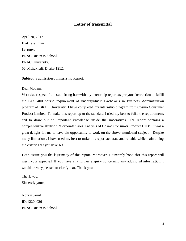# **Letter of transmittal**

April 20, 2017 Iffat Tarannum, Lecturer, BRAC Business School, BRAC University, 66, Mohakhali, Dhaka-1212.

**Subject:** Submission of Internship Report.

#### Dear Madam,

With due respect, I am submitting herewith my internship report as per your instruction to fulfill the BUS 400 course requirement of undergraduate Bachelor's in Business Administration program of BRAC University. I have completed my internship program from Cosmo Consumer Product Limited. To make this report up to the standard I tried my best to fulfil the requirements and to draw out an important knowledge inside the imperatives. The report contains a comprehensive study on "Corporate Sales Analysis of Cosmo Consumer Product LTD". It was a great delight for me to have the opportunity to work on the above-mentioned subject. . Despite many limitations, I have tried my best to make this report accurate and reliable while maintaining the criteria that you have set.

I can assure you the legitimacy of this report. Moreover, I sincerely hope that this report will merit your approval. If you have any further enquiry concerning any additional information, I would be very pleased to clarify that. Thank you.

Thank you. Sincerely yours,

Nourin Jamil ID: 12204026 BRAC Business School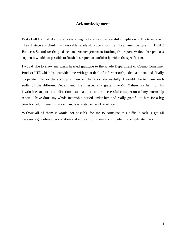# **Acknowledgement**

First of all I would like to thank the almighty because of successful completion of this term report. Then I sincerely thank my honorable academic supervisor Iffat Tarannum, Lecturer in BRAC Business School for the guidance and encouragement in finishing this report. Without her precious support it would not possible to finish this report so confidently within the specific time.

I would like to show my warm hearted gratitude to the whole Department of Cosmo Consumer Product LTDwhich has provided me with great deal of information's, adequate data and finally cooperated me for the accomplishment of the report successfully. I would like to thank each staffs of the different Department. I am especially grateful toMd. Zaheer Rayhan for his invaluable support and direction that lead me to the successful completion of my internship report. I have done my whole internship period under him and really grateful to him for a big time for helping me in my each and every step of work at office.

Without all of them it would not possible for me to complete this difficult task. I got all necessary guidelines, cooperation and advice from them to complete this complicated task.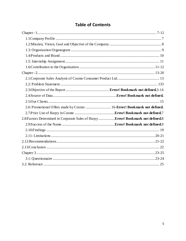# **Table of Contents**

| 2.6: Promotional Offers made by Cosmo  16-Error! Bookmark not defined.            |  |
|-----------------------------------------------------------------------------------|--|
|                                                                                   |  |
| 2.8: Factors Determined in Corporate Sales of Harpy Error! Bookmark not defined.8 |  |
|                                                                                   |  |
|                                                                                   |  |
|                                                                                   |  |
|                                                                                   |  |
|                                                                                   |  |
|                                                                                   |  |
|                                                                                   |  |
|                                                                                   |  |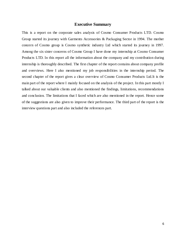#### **Executive Summary**

This is a report on the corporate sales analysis of Cosmo Consumer Products LTD. Cosmo Group started its journey with Garments Accessories & Packaging Sector in 1994. The mother concern of Cosmo group is Cosmo synthetic industry Ltd which started its journey in 1997. Among the six sister concerns of Cosmo Group I have done my internship at Cosmo Consumer Products LTD. In this report all the information about the company and my contribution during internship is thoroughly described. The first chapter of the report contains about company profile and overviews. Here I also mentioned my job responsibilities in the internship period. The second chapter of the report gives a clear overview of Cosmo Consumer Products Ltd.It is the main part of the report where I mainly focused on the analysis of the project. In this part mostly I talked about our valuable clients and also mentioned the findings, limitations, recommendations and conclusion. The limitations that I faced which are also mentioned in the report. Hence some of the suggestions are also given to improve their performance. The third part of the report is the interview questions part and also included the references part.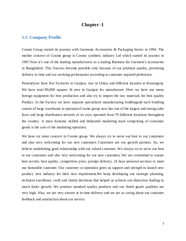# **Chapter -1**

#### <span id="page-6-0"></span>**1.1: Company Profile**

Cosmo Group started its journey with Garments Accessories & Packaging Sector in 1994. The mother concern of Cosmo group is Cosmo synthetic industry Ltd which started its journey in 1997.Now it's one of the leading manufacturers as a trading Business for Garment's accessories in Bangladesh. This Success become possible only because of our products quality, promising delivery in time and our working performance according to customer required preference.

Presentlywe have five Factories in Gazipur, two in Uttara and different location in Keranigonj. We have total 80,000 squares fit area in Gazipur for manufacture. Here we have use many foreign equipment for best production and also try to import the raw materials for best quality Product. In the Factory we have separate specialized manufacturing buildingand each building consist of large warehouse in operation.Cosmo group now has one of the largest and strong sales force and large distribution network of its own, operated from 70 different locations throughout the country. A most dynamic skilled and dedicated marketing team comprising of consumer goods is the core of the marketing operation.

We have six sister concern in Cosmo group. We always try to serve our best to our customers and also very welcoming for our new customers. Customers are our growth partners. So, we believe establishing good relationship with our valued customer. We always try to serve our best to our customers and also very welcoming for our new customers. We are committed to ensure best service, best quality, competitive price, prompt delivery, 24 hour personal services to meet our honorable customer. Our customer co-operation gives us support and strength to launch new product, new industry for their new requirement.We keep developing our strategic planning, technical excellence, swift and timely decisions that helped us achieve our objectives leading to much faster growth. We produce standard quality products and our finish goods qualities are very high. Also, we are very sincere at in time delivery and we are so caring about our customer feedback and satisfaction about our service.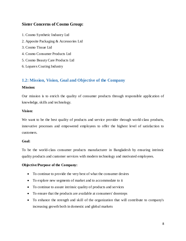# **Sister Concerns of Cosmo Group:**

- 1. Cosmo Synthetic Industry Ltd
- 2. Apposite Packaging & Accessories Ltd
- 3. Cosmo Tissue Ltd
- 4. Cosmo Consumer Products Ltd
- 5. Cosmo Beauty Care Products Ltd
- 6. Loparex Coating Industry

# **1.2: Mission, Vision, Goal and Objective of the Company**

#### **Mission:**

Our mission is to enrich the quality of consumer products through responsible application of knowledge, skills and technology.

#### **Vision:**

We want to be the best quality of products and service provider through world-class products, innovative processes and empowered employees to offer the highest level of satisfaction to customers.

#### **Goal:**

To be the world-class consumer products manufacturer in Bangladesh by ensuring intrinsic quality products and customer services with modern technology and motivated employees.

#### **Objective/Purpose of the Company:**

- To continue to provide the very best of what the consumer desires
- To explore new segments of market and to accommodate to it
- To continue to assure intrinsic quality of products and services
- To ensure that the products are available at consumers' doorsteps
- To enhance the strength and skill of the organization that will contribute to company's increasing growth both in domestic and global markets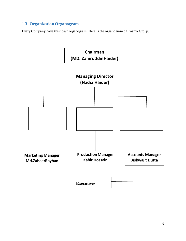# <span id="page-8-0"></span>**1.3: Organization Organogram**

Every Company have their own organogram. Here is the organogram of Cosmo Group.

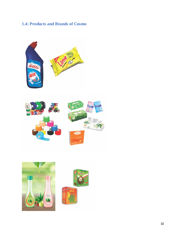# **1.4: Products and Brands of Cosmo**



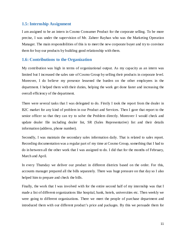# **1.5: Internship Assignment**

I am assigned to be an intern in Cosmo Consumer Product for the corporate selling. To be more precise, I was under the supervision of Mr. Zaheer Rayhan who was the Marketing Operation Manager. The main responsibilities of this is to meet the new corporate buyer and try to convince them for buy our products by building good relationship with them.

# **1.6: Contributions to the Organization**

My contribution was high in terms of organizational output. As my capacity as an intern was limited but I increased the sales rate of Cosmo Group by selling their products in corporate level. Moreover, I do believe my presence lessened the burden on the other employees in the department. I helped them with their duties, helping the work get done faster and increasing the overall efficiency of the department.

There were several tasks that I was delegated to do. Firstly I took the report from the dealer in B2C market for any kind of problem in our Product and Services. Then I gave that report to the senior officer so that they can try to solve the Problem directly. Moreover I would check and update dealer file including dealer list, SR (Sales Representative) list and their details information (address, phone number).

Secondly, I was maintain the secondary sales information daily. That is related to sales report. Recording documentation was a regular part of my time at Cosmo Group, something that I had to do in between all the other work that I was assigned to do. I did that for the months of February, March and April.

In every Thursday we deliver our product in different districts based on the order. For this, accounts manager prepared all the bills separately. There was huge pressure on that day so I also helped him to prepare and check the bills.

Finally, the work that I was involved with for the entire second half of my internship was that I made a list of different organizations like hospital, bank, hotels, universities etc. Then weekly we were going to different organizations. There we meet the people of purchase department and introduced them with our different product's price and packages. By this we persuade them for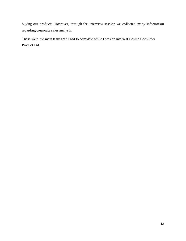buying our products. However, through the interview session we collected many information regarding corporate sales analysis.

<span id="page-11-1"></span><span id="page-11-0"></span>Those were the main tasks that I had to complete while I was an intern at Cosmo Consumer Product Ltd.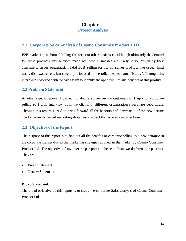# **Chapter -2**

# **Project Analysis**

# **2.1: Corporate Sales Analysis of Cosmo Consumer Product LTD**

B2B marketing is about fulfilling the needs of other businesses, although ultimately the demand for these products and services made by these businesses are likely to be driven by their consumers. In our organization I did B2B Selling for our consumer products like tissue, hand wash, dish washer etc. but specially I focused in the toilet cleaner name "Harpy". Through this internship I worked with the sales team to identify the opportunities and benefits of this product.

# **2.2 Problem Statement**

As other typical reports, I did not conduct a survey on the customers of Harpy for corporate selling.So I took interview from the clients in different organization's purchase department. Through this report, I tried to bring forward all the benefits and drawbacks of the new entrant due to the implemented marketing strategies to attract the targeted customer base.

# **2.3: Objective of the Report**

The purpose of this report is to find out all the benefits of corporate selling as a new entrance in the corporate market due to the marketing strategies applied in the market by Cosmo Consumer Product Ltd. The objective of my internship report can be seen from two different perspectives. They are:

- Broad Statement
- Narrow Statement

#### **Broad Statement:**

The broad objective of this report is to study the corporate Sales analysis of Cosmo Consumer Product Ltd.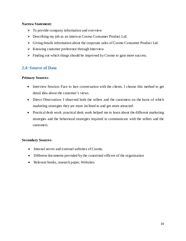#### **Narrow Statement:**

- $\triangleright$  To provide company information and overview
- Describing my job as an intern at Cosmo Consumer Product Ltd.
- $\triangleright$  Giving details information about the corporate sales of Cosmo Consumer Product Ltd.
- $\triangleright$  Knowing customer preference through Interview
- $\triangleright$  Finding out which things should be improved by Cosmo to gain more success.

# **2.4: Source of Data**

## **Primary Sources**:

- Interview Session: Face to face conversation with the clients. I choose this method to get detail idea about the customer's views.
- Direct Observation: I observed both the sellers and the customers on the basis of which marketing strategies they are more inclined to and get more attracted.
- Practical desk work: practical desk work helped me to learn about the different marketing strategies and the behavioral strategies required to communicate with the sellers and the customers.

## **Secondary Sources**:

- Internal server and external websites of Cosmo.
- Different documents provided by the concerned officers of the organization
- Relevant books, research paper, Websites.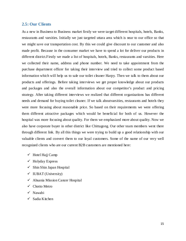## **2.5: Our Clients**

As a new in Business to Business market firstly we were target different hospitals, hotels, Banks, restaurants and varsities. Initially we just targeted uttara area which is near to our office so that we might save our transportation cost. By this we could give discount to our customer and also made profit. Because in the consumer market we have to spend a lot for deliver our products in different district.Firstly we made a list of hospitals, hotels, Banks, restaurants and varsities. Here we collected their name, address and phone number. We need to take appointment from the purchase department officer for taking their interview and tried to collect some product based information which will help us to sale our toilet cleaner Harpy. Then we talk to them about our products and offerings. Before taking interviews we get proper knowledge about our products and packages and also the overall information about our competitor's product and pricing strategy. After taking different interviews we realized that different organizations has different needs and demand for buying toilet cleaner. If we talk aboutvarsities, restaurants and hotels they were more focusing about reasonable price. So based on their requirements we were offering them different attractive packages which would be beneficial for both of us. However the hospital was more focusing about quality. For them we emphasized more about quality. Now we also have corporate buyer in other district like Chittagong. Our other team members went there through different link. By all this things we were trying to build up a good relationship with our valuable clients and convert them to our loyal customers. Some of the name of our very well recognized clients who are our current B2B customers are mentioned here:

- $\checkmark$  Hotel Hajj Camp
- $\checkmark$  Holyday Express
- $\checkmark$  Shin Shin Japan Hospital
- $\checkmark$  IUBAT (University)
- $\checkmark$  Ahsania Mission Cancer Hospital
- $\checkmark$  Chotto Metro
- $\checkmark$  Nawabi
- $\checkmark$  Sadia Kitchen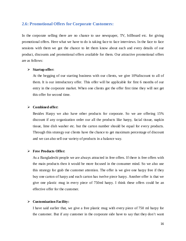## **2.6: Promotional Offers for Corporate Customers:**

In the corporate selling there are no chance to use newspaper, TV, billboard etc. for giving promotional offers. Here what we have to do is taking face to face interviews. In the face to face sessions with them we got the chance to let them know about each and every details of our product, discounts and promotional offers available for them. Our attractive promotional offers are as follows:

#### **Startup offer:**

At the begging of our starting business with our clients, we give 10%discount to all of them. It is our introductory offer. This offer will be applicable for first 6 months of our entry in the corporate market. When one clients got the offer first time they will not get this offer for second time.

#### **Combined offer:**

Besides Harpy we also have other products for corporate. So we are offering 15% discount if any organization order our all the products like harpy, facial tissue, napkin tissue, lime dish washer etc. but the carton number should be equal for every products. Through this strategy our clients have the chance to get maximum percentage of discount and we can also sell our variety of products in a balance way.

#### **Free Products Offer:**

As a Bangladeshi people we are always attracted in free offers. If there is free offers with the main products then it would be more focused in the consumer mind. So we also use this strategy for grab the customer attention. The offer is we give one harpy free if they buy one carton of harpy and each carton has twelve piece harpy. Another offer is that we give one plastic mug in every piece of 750ml harpy. I think these offers could be an effective offer for the customer.

#### **Customization Facility:**

I have said earlier that, we give a free plastic mug with every piece of 750 ml harpy for the customer. But if any customer in the corporate side have to say that they don't want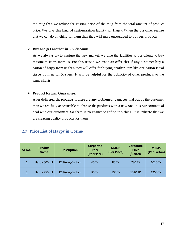the mug then we reduce the costing price of the mug from the total amount of product price. We give this kind of customization facility for Harpy. When the customer realize that we can do anything for them then they will more encouraged to buy our products

#### **Buy one get another in 5% discount:**

As we always try to capture the new market, we give the facilities to our clients to buy maximum items from us. For this reason we made an offer that if any customer buy a carton of harpy from us then they will offer for buying another item like one carton facial tissue from us for 5% less. It will be helpful for the publicity of other products to the same clients.

#### **Product Return Guarantee:**

After delivered the products if there are any problem or damages find out by the customer then we are fully accountable to change the products with a new one. It is our contractual deal with our customers. So there is no chance to refuse this thing. It is indicate that we are creating quality products for them.

# **2.7: Price List of Harpy in Cosmo**

<span id="page-16-0"></span>

| SL No.         | <b>Product</b><br><b>Name</b> | <b>Description</b> | Corporate<br><b>Price</b><br>(Per Piece) | <b>M.R.P.</b><br>(Per Piece) | Corporate<br><b>Price</b><br>/Carton | <b>M.R.P.</b><br>(Per Carton) |
|----------------|-------------------------------|--------------------|------------------------------------------|------------------------------|--------------------------------------|-------------------------------|
| $\mathbf{1}$   | Harpy 500 ml                  | 12 Piece/Carton    | <b>65 TK</b>                             | <b>85 TK</b>                 | 780 TK                               | 1020 TK                       |
| $\overline{2}$ | Harpy 750 ml                  | 12 Piece/Carton    | <b>85 TK</b>                             | <b>105 TK</b>                | 1020 TK                              | 1260 TK                       |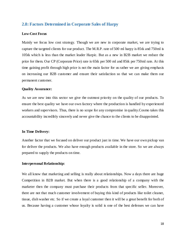# **2.8: Factors Determined in Corporate Sales of Harpy**

#### **Low-Cost Focus**

Mainly we focus low cost strategy. Though we are new in corporate market, we are trying to capture the targeted clients for our product. The M.R.P. rate of 500 ml harpy is 85tk and 750ml is 105tk which is less than the market leader Harpic. But as a new in B2B market we reduce the price for them. Our CP (Corporate Price) rate is 65tk per 500 ml and 85tk per 750ml rate. At this time gaining profit through high price is not the main factor for us rather we are giving emphasis on increasing our B2B customer and ensure their satisfaction so that we can make them our permanent customer.

#### **Quality Assurance:**

As we are new into this sector we give the outmost priority on the quality of our products. To ensure the best quality we have our own factory where the production is handled by experienced workers and supervisors. Thus, there is no scope for any compromise in quality.Cosmo takes this accountability incredibly sincerely and never give the chance to the clients to be disappointed.

#### **In Time Delivery:**

Another factor that we focused on deliver our product just in time. We have our own pickup van for deliver the products. We also have enough products available in the store. So we are always prepared to supply the products on time.

#### **Interpersonal Relationship:**

We all know that marketing and selling is really about relationships. Now a days there are huge Competition in B2B market. But when there is a good relationship of a company with the marketer then the company must purchase their products from that specific seller. Moreover, there are not that much customer involvement of buying this kind of products like toilet cleaner, tissue, dish washer etc. So if we create a loyal customer then it will be a great benefit for both of us. Because having a customer whose loyalty is solid is one of the best defenses we can have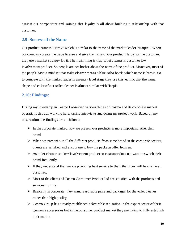against our competitors and gaining that loyalty is all about building a relationship with that customer.

#### **2.9: Success of the Name**

Our product name is"Harpy" which is similar to the name of the market leader "Harpic". When our company create the trade license and give the name of our product Harpy for the customer, they use a market strategy for it. The main thing is that, toilet cleaner is customer low involvement product. So people are not bother about the name of the product. Moreover, most of the people have a mindset that toilet cleaner means a blue color bottle which name is harpic. So to compete with the market leader in an entry level stage they use this technic that the name, shape and color of our toilet cleaner is almost similar with Harpic.

#### **2.10: Findings:**

During my internship in Cosmo I observed various things of Cosmo and its corporate market operations through working here, taking interviews and doing my project work. Based on my observation, the findings are as follows:

- $\triangleright$  In the corporate market, how we present our products is more important rather than brand.
- $\triangleright$  When we present our all the different products from same brand in the corporate sectors, clients are satisfied and encourage to buy the package offer from us.
- $\triangleright$  As toilet cleaner is a low involvement product so customer does not want to switch their brand frequently.
- $\triangleright$  If they understand that we are providing best service to them then they will be our loyal customer.
- $\triangleright$  Most of the clients of Cosmo Consumer Product Ltd are satisfied with the products and services from us.
- $\triangleright$  Basically in corporate, they want reasonable price and packages for the toilet cleaner rather than high quality.
- $\triangleright$  Cosmo Group has already established a favorable reputation in the export sector of their garments accessories but in the consumer product market they are trying to fully establish their market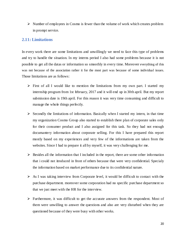$\triangleright$  Number of employees in Cosmo is fewer than the volume of work which creates problem in prompt service.

## **2.11: Limitations**

In every work there are some limitations and unwillingly we need to face this type of problems and try to handle the situation. In my interns period I also had some problems because it is not possible to get all the datas or information so smoothly in every time. Moreover everything of this was not because of the association rather it for the most part was because of some individual issues. Those limitations are as follows:

- $\triangleright$  First of all I would like to mention the limitations from my own part. I started my internship program from 1st february, 2017 and it will end up in 30th april. But my report submission date is 19th april. For this reason it was very time consuming and difficult to manage the whole things perfectly.
- $\triangleright$  Secondly the limitations of information. Basically when I started my intern, in that time my organization Cosmo Group also started to establish there plan of corporate sales only for their consumer product and I also assigned for this task. So they had not enough documantery information about corporate selling. For this I have prepared this report mostly based on my experiences and very few of the informations are taken from the websites. Since I had to prepare it all by myself, it was very challenging for me.
- $\triangleright$  Besides all the information that I included in the report, there are some other information that i could not itroduced in front of others because that were very confidential. Specialy the information based on market performance due to its confidential nature.
- $\triangleright$  As I was taking interview from Corporate level, it would be difficult to contact with the purchase department. moreover some corporation had no specific purchase department so that we just meet with the HR for the interview.
- $\triangleright$  Furthermore, it was difficult to get the accurate answers from the respondent. Most of them were unwilling to answer the questions and also are very disturbed when they are questioned because of they were busy with other works.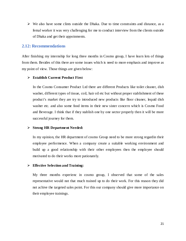$\triangleright$  We also have some clints outside the Dhaka. Due to time constraints and distance, as a femal worker it was very challenging for me to conduct interview from the clients outside of Dhaka and get their appoinments.

## **2.12: Recommendations**

After finishing my internship for long three months in Cosmo group, I have learn lots of things from them. Besides of this there are some issues which is need to more emphasis and improve as my point of view. Those things are given below:

#### **Establish Current Product First**

In the Cosmo Consumer Product Ltd there are different Products like toilet cleaner, dish washer, different types of tissue, coil, hair oil etc but without proper stablishment of these product's market they are try to introduced new products like floor cleaner, lequid dish washer etc. and also some food items in their new sister concern which is Cosmo Food and Beverage. I think that if they stablish one by one sector properly then it will be more successful journey for them.

#### **Strong HR Department Needed:**

In my opinion, the HR department of cosmo Group need to be more strong regardin their employee performence. When a company create a suitable working environment and build up a good relationship with their other employees then the employee should motivated to do their works more pationately.

#### **Effective Selection and Training:**

My three months experienc in cosmo group, I observed that some of the sales representative would not that much trained up to do their work. For this reason they did not achive the targeted sales point. For this our company should give more importance on their employee trainings.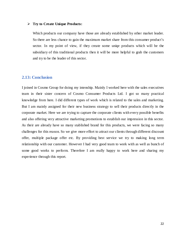#### **Try to Create Unique Products:**

Which products our company have those are already established by other market leader. So there are less chance to gain the maximum market share from this consumer product's sector. In my point of view, if they create some uniqe products which will be the subsidiary of this traditional products then it will be more helpful to grab the customers and try to be the leader of this sector.

## **2.13: Conclusion**

<span id="page-21-0"></span>I joined in Cosmo Group for doing my intenship. Mainly I worked here with the sales executives team in their sister concern of Cosmo Consumer Products Ltd. I got so many practical knowledge from here. I did different types of work which is related to the sales and marketing. But I am mainly assigned for their new business strategy to sell their products directly in the corporate market. Here we are trying to capture the corporate clients with every possible benefits and also offering very attractive marketing promotions to establish our impression in this sector. As their are already have so many stablished brand for this products, we were facing so many challenges for this reason. So we give more effort to attract our clients through different discount offer, multiple package offer etc. By providing best service we try to making long term relationship with our customer. However I had very good team to work with as well as bunch of some good works to perform. Therefore I am really happy to work here and sharing my experience through this report.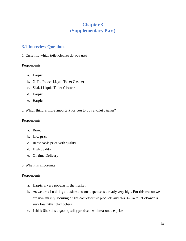# **Chapter 3 (Supplementary Part)**

# **3.1:Interview Questions**

1. Currently which toilet cleaner do you use?

## Respondents:

- a. Harpic
- b. X-Tra Power Liquid Toilet Cleaner
- c. Shakti Liquid Toilet Cleaner
- d. Harpic
- e. Harpic
- 2. Which thing is more important for you to buy a toilet cleaner?

Respondents:

- a. Brand
- b. Low price
- c. Reasonable price with quality
- d. High quality
- e. On time Delivery
- 3. Why it is important?

## Respondents:

- a. Harpic is very popular in the market.
- b. As we are also doing a business so our expense is already very high. For this reason we are now mainly focusing on the cost effective products and this X-Tra toilet cleaner is very low rather than others.
- c. I think Shakti is a good quality products with reasonable price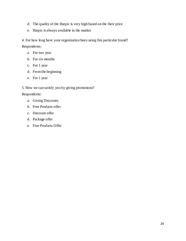- d. The quality of the Harpic is very high based on the their price
- e. Harpic is always available in the market
- 4. For how long have your organization been using this particular brand?

Respondents:

- a. For two year
- b. For six months
- c. For 1 year
- d. From the beginning
- e. For 1 year

5. How we can satisfy you by giving promotions?

Respondents:

- a. Giving Discounts
- b. Free Products offer
- c. Discount offer
- d. Package offer
- e. Free Products Offer